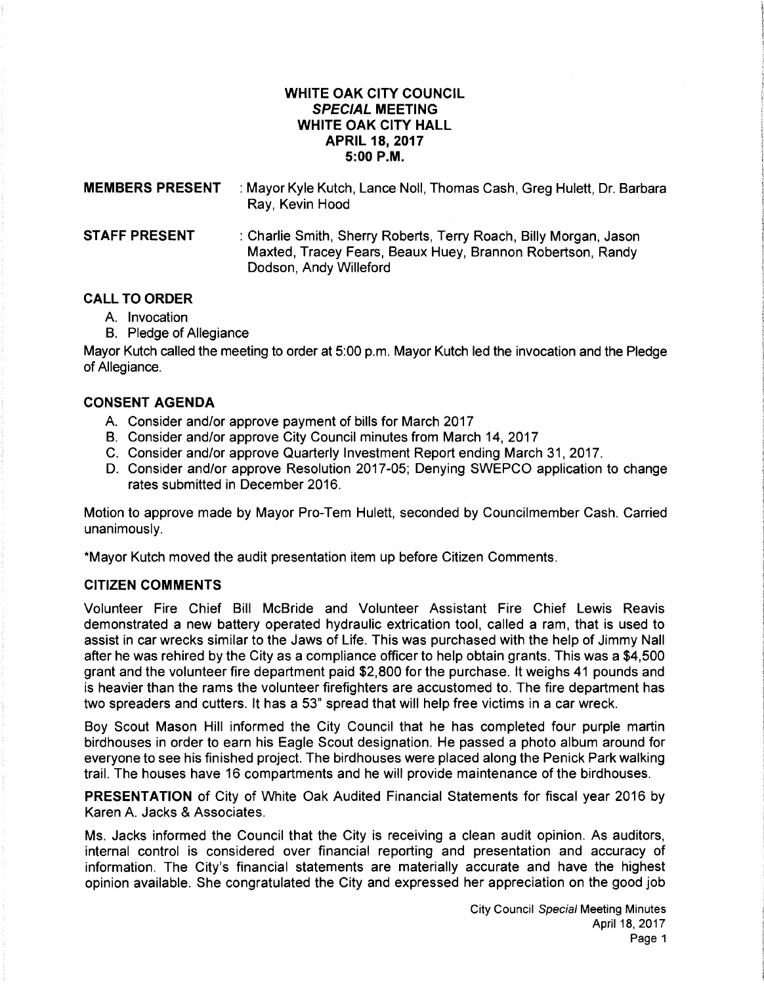# **WHITE OAK CITY COUNCIL SPECIAL MEETING WHITE OAK CITY HALL APRIL 18, 2017 5:00P.M.**

| <b>MEMBERS PRESENT</b> | : Mayor Kyle Kutch, Lance Noll, Thomas Cash, Greg Hulett, Dr. Barbara<br>Ray, Kevin Hood                                        |
|------------------------|---------------------------------------------------------------------------------------------------------------------------------|
| <b>STAFF PRESENT</b>   | : Charlie Smith, Sherry Roberts, Terry Roach, Billy Morgan, Jason<br>Maxted, Tracey Fears, Beaux Huey, Brannon Robertson, Randy |

### **CALL TO ORDER**

- A. Invocation
- B. Pledge of Allegiance

Mayor Kutch called the meeting to order at 5:00 p.m. Mayor Kutch led the invocation and the Pledge of Allegiance.

# **CONSENT AGENDA**

- A. Consider and/or approve payment of bills for March 2017
- B. Consider and/or approve City Council minutes from March 14, 2017

Dodson, Andy Willeford

- C. Consider and/or approve Quarterly Investment Report ending March 31, 2017.
- D. Consider and/or approve Resolution 2017-05; Denying SWEPCO application to change rates submitted in December 2016.

Motion to approve made by Mayor Pro-Tem Hulett, seconded by Councilmember Cash. Carried unanimously.

\*Mayor Kutch moved the audit presentation item up before Citizen Comments.

### **CITIZEN COMMENTS**

Volunteer Fire Chief Bill McBride and Volunteer Assistant Fire Chief Lewis Reavis demonstrated a new battery operated hydraulic extrication tool, called a ram, that is used to assist in car wrecks similar to the Jaws of Life. This was purchased with the help of Jimmy Nail after he was rehired by the City as a compliance officer to help obtain grants. This was a \$4,500 grant and the volunteer fire department paid \$2,800 for the purchase. It weighs 41 pounds and is heavier than the rams the volunteer firefighters are accustomed to. The fire department has two spreaders and cutters. It has a 53" spread that will help free victims in a car wreck.

Boy Scout Mason Hill informed the City Council that he has completed four purple martin birdhouses in order to earn his Eagle Scout designation. He passed a photo album around for everyone to see his finished project. The birdhouses were placed along the Penick Park walking trail. The houses have 16 compartments and he will provide maintenance of the birdhouses.

**PRESENTATION** of City of White Oak Audited Financial Statements for fiscal year 2016 by Karen A. Jacks & Associates.

Ms. Jacks informed the Council that the City is receiving a clean audit opinion. As auditors, internal control is considered over financial reporting and presentation and accuracy of information. The City's financial statements are materially accurate and have the highest opinion available. She congratulated the City and expressed her appreciation on the good job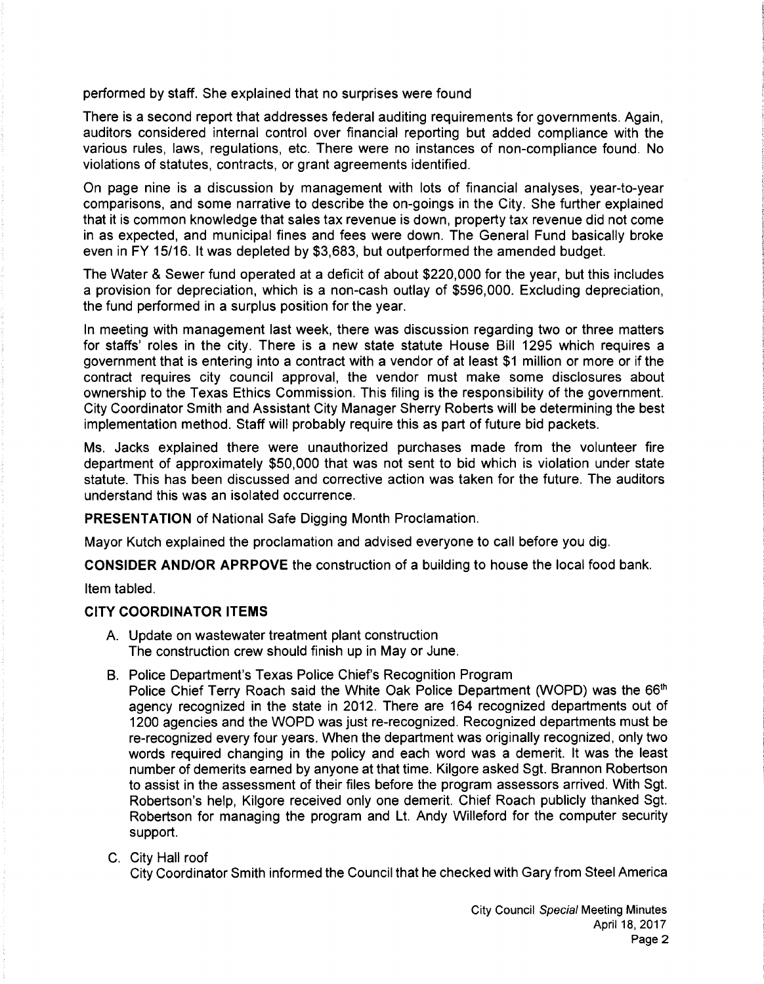performed by staff. She explained that no surprises were found

There is a second report that addresses federal auditing requirements for governments. Again, auditors considered internal control over financial reporting but added compliance with the various rules, laws, regulations, etc. There were no instances of non-compliance found. No violations of statutes, contracts, or grant agreements identified.

On page nine is a discussion by management with lots of financial analyses, year-to-year comparisons, and some narrative to describe the on-goings in the City. She further explained that it is common knowledge that sales tax revenue is down, property tax revenue did not come in as expected, and municipal fines and fees were down. The General Fund basically broke even in FY 15/16. It was depleted by \$3,683, but outperformed the amended budget.

The Water & Sewer fund operated at a deficit of about \$220,000 for the year, but this includes a provision for depreciation, which is a non-cash outlay of \$596,000. Excluding depreciation, the fund performed in a surplus position for the year.

In meeting with management last week, there was discussion regarding two or three matters for staffs' roles in the city. There is a new state statute House Bill 1295 which requires a government that is entering into a contract with a vendor of at least \$1 million or more or if the contract requires city council approval, the vendor must make some disclosures about ownership to the Texas Ethics Commission. This filing is the responsibility of the government. City Coordinator Smith and Assistant City Manager Sherry Roberts will be determining the best implementation method. Staff will probably require this as part of future bid packets.

Ms. Jacks explained there were unauthorized purchases made from the volunteer fire department of approximately \$50,000 that was not sent to bid which is violation under state statute. This has been discussed and corrective action was taken for the future. The auditors understand this was an isolated occurrence.

**PRESENTATION** of National Safe Digging Month Proclamation.

Mayor Kutch explained the proclamation and advised everyone to call before you dig.

**CONSIDER AND/OR APRPOVE** the construction of a building to house the local food bank.

Item tabled.

#### **CITY COORDINATOR ITEMS**

- A. Update on wastewater treatment plant construction The construction crew should finish up in May or June.
- B. Police Department's Texas Police Chief's Recognition Program

Police Chief Terry Roach said the White Oak Police Department (WOPD) was the 66<sup>th</sup> agency recognized in the state in 2012. There are 164 recognized departments out of 1200 agencies and the WOPD was just re-recognized. Recognized departments must be re-recognized every four years. When the department was originally recognized, only two words required changing in the policy and each word was a demerit. It was the least number of demerits earned by anyone at that time. Kilgore asked Sgt. Brannon Robertson to assist in the assessment of their files before the program assessors arrived. With Sgt. Robertson's help, Kilgore received only one demerit. Chief Roach publicly thanked Sgt. Robertson for managing the program and Lt. Andy Willeford for the computer security support.

C. City Hall roof

City Coordinator Smith informed the Council that he checked with Gary from Steel America